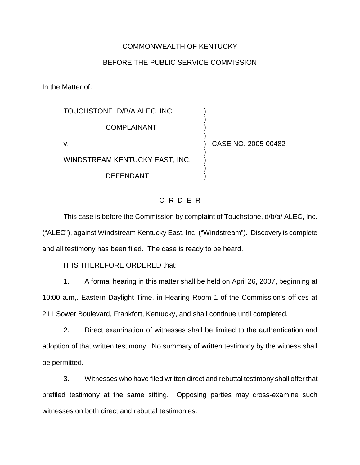## COMMONWEALTH OF KENTUCKY

## BEFORE THE PUBLIC SERVICE COMMISSION

In the Matter of:

| TOUCHSTONE, D/B/A ALEC, INC.   |                     |
|--------------------------------|---------------------|
| COMPLAINANT                    |                     |
| v.                             | CASE NO. 2005-00482 |
| WINDSTREAM KENTUCKY EAST, INC. |                     |
| DEFENDANT                      |                     |

## O R D E R

This case is before the Commission by complaint of Touchstone, d/b/a/ ALEC, Inc. ("ALEC"), against Windstream Kentucky East, Inc. ("Windstream"). Discovery is complete and all testimony has been filed. The case is ready to be heard.

IT IS THEREFORE ORDERED that:

1. A formal hearing in this matter shall be held on April 26, 2007, beginning at 10:00 a.m,. Eastern Daylight Time, in Hearing Room 1 of the Commission's offices at 211 Sower Boulevard, Frankfort, Kentucky, and shall continue until completed.

2. Direct examination of witnesses shall be limited to the authentication and adoption of that written testimony. No summary of written testimony by the witness shall be permitted.

3. Witnesses who have filed written direct and rebuttal testimony shall offer that prefiled testimony at the same sitting. Opposing parties may cross-examine such witnesses on both direct and rebuttal testimonies.